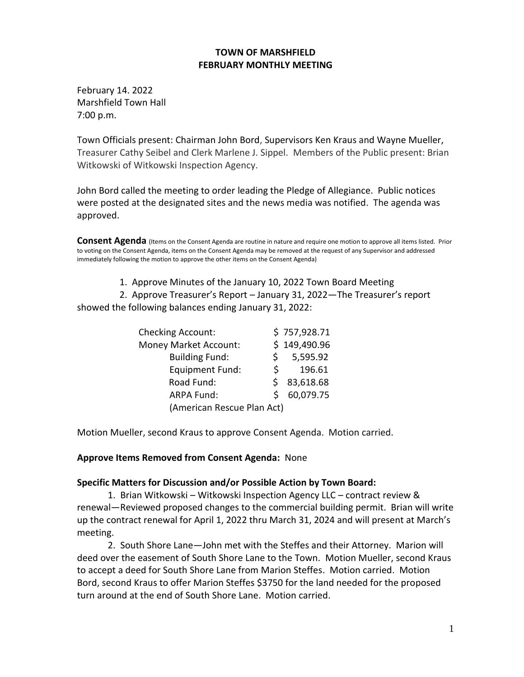## **TOWN OF MARSHFIELD FEBRUARY MONTHLY MEETING**

February 14. 2022 Marshfield Town Hall 7:00 p.m.

Town Officials present: Chairman John Bord, Supervisors Ken Kraus and Wayne Mueller, Treasurer Cathy Seibel and Clerk Marlene J. Sippel. Members of the Public present: Brian Witkowski of Witkowski Inspection Agency.

John Bord called the meeting to order leading the Pledge of Allegiance. Public notices were posted at the designated sites and the news media was notified. The agenda was approved.

**Consent Agenda** (Items on the Consent Agenda are routine in nature and require one motion to approve all items listed. Prior to voting on the Consent Agenda, items on the Consent Agenda may be removed at the request of any Supervisor and addressed immediately following the motion to approve the other items on the Consent Agenda)

1. Approve Minutes of the January 10, 2022 Town Board Meeting

 2. Approve Treasurer's Report – January 31, 2022—The Treasurer's report showed the following balances ending January 31, 2022:

| <b>Checking Account:</b>     |    | \$757,928.71 |
|------------------------------|----|--------------|
| <b>Money Market Account:</b> |    | \$149,490.96 |
| <b>Building Fund:</b>        |    | 5,595.92     |
| <b>Equipment Fund:</b>       | S. | 196.61       |
| Road Fund:                   |    | 83,618.68    |
| <b>ARPA Fund:</b>            | S. | 60,079.75    |
| (American Rescue Plan Act)   |    |              |

Motion Mueller, second Kraus to approve Consent Agenda. Motion carried.

## **Approve Items Removed from Consent Agenda:** None

## **Specific Matters for Discussion and/or Possible Action by Town Board:**

1. Brian Witkowski – Witkowski Inspection Agency LLC – contract review & renewal—Reviewed proposed changes to the commercial building permit. Brian will write up the contract renewal for April 1, 2022 thru March 31, 2024 and will present at March's meeting.

2. South Shore Lane—John met with the Steffes and their Attorney. Marion will deed over the easement of South Shore Lane to the Town. Motion Mueller, second Kraus to accept a deed for South Shore Lane from Marion Steffes. Motion carried. Motion Bord, second Kraus to offer Marion Steffes \$3750 for the land needed for the proposed turn around at the end of South Shore Lane. Motion carried.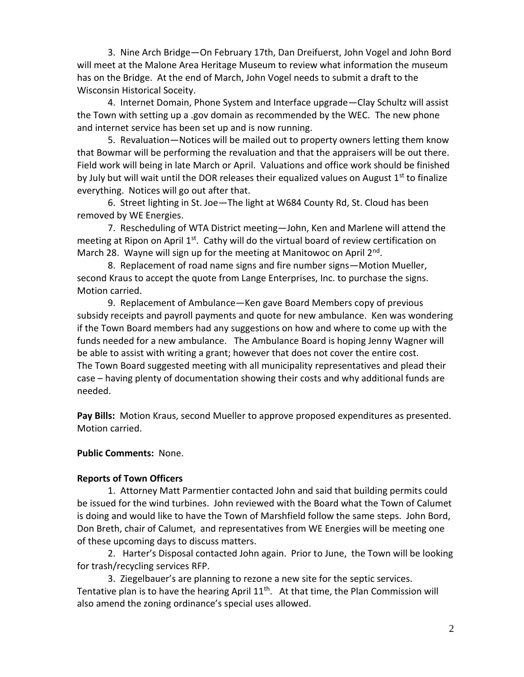3. Nine Arch Bridge—On February 17th, Dan Dreifuerst, John Vogel and John Bord will meet at the Malone Area Heritage Museum to review what information the museum has on the Bridge. At the end of March, John Vogel needs to submit a draft to the Wisconsin Historical Soceity.

4. Internet Domain, Phone System and Interface upgrade—Clay Schultz will assist the Town with setting up a .gov domain as recommended by the WEC. The new phone and internet service has been set up and is now running.

5. Revaluation—Notices will be mailed out to property owners letting them know that Bowmar will be performing the revaluation and that the appraisers will be out there. Field work will being in late March or April. Valuations and office work should be finished by July but will wait until the DOR releases their equalized values on August  $1<sup>st</sup>$  to finalize everything. Notices will go out after that.

6. Street lighting in St. Joe—The light at W684 County Rd, St. Cloud has been removed by WE Energies.

7. Rescheduling of WTA District meeting—John, Ken and Marlene will attend the meeting at Ripon on April  $1<sup>st</sup>$ . Cathy will do the virtual board of review certification on March 28. Wayne will sign up for the meeting at Manitowoc on April 2<sup>nd</sup>.

8. Replacement of road name signs and fire number signs—Motion Mueller, second Kraus to accept the quote from Lange Enterprises, Inc. to purchase the signs. Motion carried.

9. Replacement of Ambulance—Ken gave Board Members copy of previous subsidy receipts and payroll payments and quote for new ambulance. Ken was wondering if the Town Board members had any suggestions on how and where to come up with the funds needed for a new ambulance. The Ambulance Board is hoping Jenny Wagner will be able to assist with writing a grant; however that does not cover the entire cost. The Town Board suggested meeting with all municipality representatives and plead their case – having plenty of documentation showing their costs and why additional funds are needed.

**Pay Bills:** Motion Kraus, second Mueller to approve proposed expenditures as presented. Motion carried.

**Public Comments:** None.

## **Reports of Town Officers**

1. Attorney Matt Parmentier contacted John and said that building permits could be issued for the wind turbines. John reviewed with the Board what the Town of Calumet is doing and would like to have the Town of Marshfield follow the same steps. John Bord, Don Breth, chair of Calumet, and representatives from WE Energies will be meeting one of these upcoming days to discuss matters.

2. Harter's Disposal contacted John again. Prior to June, the Town will be looking for trash/recycling services RFP.

3. Ziegelbauer's are planning to rezone a new site for the septic services. Tentative plan is to have the hearing April  $11<sup>th</sup>$ . At that time, the Plan Commission will also amend the zoning ordinance's special uses allowed.